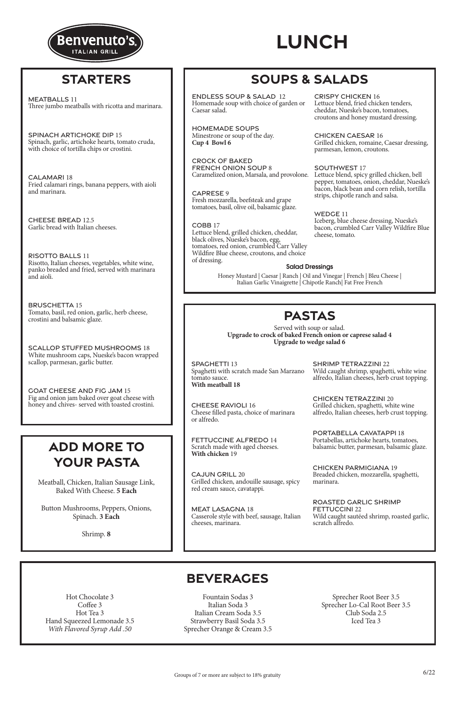### Salad Dressings

Honey Mustard | Caesar | Ranch | Oil and Vinegar | French | Bleu Cheese | Italian Garlic Vinaigrette | Chipotle Ranch| Fat Free French

## **PASTAS**

Served with soup or salad. **Upgrade to crock of baked French onion or caprese salad 4 Upgrade to wedge salad 6**

### **BEVERAGES**

Hot Chocolate 3 Coffee 3 Hot Tea 3 Hand Squeezed Lemonade 3.5 *With Flavored Syrup Add .50*

Fountain Sodas 3 Italian Soda 3 Italian Cream Soda 3.5 Strawberry Basil Soda 3.5 Sprecher Orange & Cream 3.5

Sprecher Root Beer 3.5 Sprecher Lo-Cal Root Beer 3.5 Club Soda 2.5 Iced Tea 3

Caramelized onion, Marsala, and provolone. Lettuce blend, spicy grilled chicken, bell pepper, tomatoes, onion, cheddar, Nueske's bacon, black bean and corn relish, tortilla strips, chipotle ranch and salsa.

Meatball, Chicken, Italian Sausage Link, Baked With Cheese. **5 Each**

Button Mushrooms, Peppers, Onions, Spinach. **3 Each**

Shrimp. **8**

# **SOUPS & SALADS**

# **ADD MORE TO YOUR PASTA**

### **STARTERS**



CRISPY CHICKEN 16

Lettuce blend, fried chicken tenders, cheddar, Nueske's bacon, tomatoes, croutons and honey mustard dressing.

CHICKEN CAESAR 16 Grilled chicken, romaine, Caesar dressing, parmesan, lemon, croutons.

SOUTHWEST 17

WEDGE 11 Iceberg, blue cheese dressing, Nueske's bacon, crumbled Carr Valley Wildfire Blue cheese, tomato.

ENDLESS SOUP & SALAD 12 Homemade soup with choice of garden or Caesar salad.

HOMEMADE SOUPS Minestrone or soup of the day. **Cup 4 Bowl 6** 

CROCK OF BAKED FRENCH ONION SOUP 8

CAPRESE 9 Fresh mozzarella, beefsteak and grape tomatoes, basil, olive oil, balsamic glaze.

COBB 17 Lettuce blend, grilled chicken, cheddar, black olives, Nueske's bacon, egg, tomatoes, red onion, crumbled Carr Valley Wildfire Blue cheese, croutons, and choice of dressing.

MEATBALLS 11 Three jumbo meatballs with ricotta and marinara.

SPINACH ARTICHOKE DIP 15 Spinach, garlic, artichoke hearts, tomato cruda, with choice of tortilla chips or crostini.

CALAMARI 18 Fried calamari rings, banana peppers, with aioli and marinara.

CHEESE BREAD 12.5 Garlic bread with Italian cheeses.

RISOTTO BALLS 11 Risotto, Italian cheeses, vegetables, white wine, panko breaded and fried, served with marinara and aioli.

BRUSCHETTA 15 Tomato, basil, red onion, garlic, herb cheese, crostini and balsamic glaze.

SCALLOP STUFFED MUSHROOMS 18 White mushroom caps, Nueske's bacon wrapped scallop, parmesan, garlic butter.

GOAT CHEESE AND FIG JAM 15 Fig and onion jam baked over goat cheese with honey and chives- served with toasted crostini.

SPAGHETTI 13 Spaghetti with scratch made San Marzano tomato sauce. **With meatball 18**

CHEESE RAVIOLI 16 Cheese filled pasta, choice of marinara or alfredo.

FETTUCCINE ALFREDO 14 Scratch made with aged cheeses. **With chicken** 19

CAJUN GRILL 20 Grilled chicken, andouille sausage, spicy red cream sauce, cavatappi.

MEAT LASAGNA 18 Casserole style with beef, sausage, Italian

cheeses, marinara.

SHRIMP TETRAZZINI 22 Wild caught shrimp, spaghetti, white wine alfredo, Italian cheeses, herb crust topping.

CHICKEN TETRAZZINI 20 Grilled chicken, spaghetti, white wine alfredo, Italian cheeses, herb crust topping.

PORTABELLA CAVATAPPI 18 Portabellas, artichoke hearts, tomatoes, balsamic butter, parmesan, balsamic glaze.

CHICKEN PARMIGIANA 19 Breaded chicken, mozzarella, spaghetti, marinara.

ROASTED GARLIC SHRIMP FETTUCCINI 22 Wild caught sautéed shrimp, roasted garlic,

scratch alfredo.